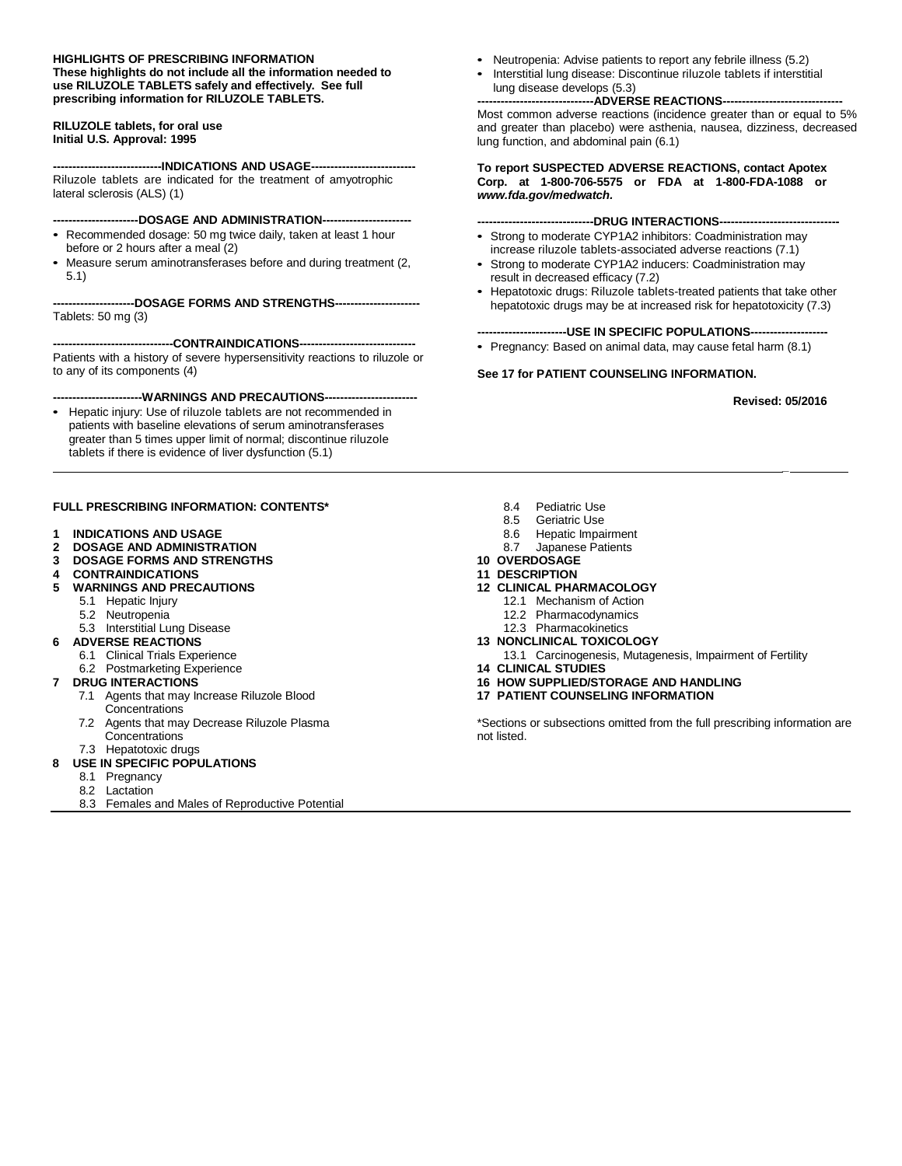#### **HIGHLIGHTS OF PRESCRIBING INFORMATION These highlights do not include all the information needed to use RILUZOLE TABLETS safely and effectively. See full**

**prescribing information for RILUZOLE TABLETS.**

#### **RILUZOLE tablets, for oral use Initial U.S. Approval: 1995**

**----------------------------INDICATIONS AND USAGE---------------------------** Riluzole tablets are indicated for the treatment of amyotrophic lateral sclerosis (ALS) (1)

#### **----------------------DOSAGE AND ADMINISTRATION-----------------------**

- Recommended dosage: 50 mg twice daily, taken at least 1 hour before or 2 hours after a meal (2)
- Measure serum aminotransferases before and during treatment (2, 5.1)

**---------------------DOSAGE FORMS AND STRENGTHS----------------------** Tablets: 50 mg (3)

**-------------------------------CONTRAINDICATIONS------------------------------**

Patients with a history of severe hypersensitivity reactions to riluzole or to any of its components (4)

#### **-----------------------WARNINGS AND PRECAUTIONS------------------------**

• Hepatic injury: Use of riluzole tablets are not recommended in patients with baseline elevations of serum aminotransferases greater than 5 times upper limit of normal; discontinue riluzole tablets if there is evidence of liver dysfunction (5.1)

#### **FULL PRESCRIBING INFORMATION: CONTENTS\***

- 
- **1 [INDICATIONS AND](#page-1-0) USAGE 2 DOSAGE AND [ADMINISTRATION](#page-1-0)**
- **3 DOSAGE FORMS AND [STRENGTHS](#page-1-0)**
- 
- **4 [CONTRAINDICATIONS](#page-1-0) 5 [WARNINGS AND](#page-1-0) PRECAUTIONS**
	- 5.1 [Hepatic](#page-1-0) Injury
	- 5.2 [Neutropenia](#page-1-0)
	- 5.3 [Interstitial](#page-1-0) Lung Disease
- **6 ADVERSE [REACTIONS](#page-1-0)**
	- 6.1 Clinical [Trials Experience](#page-1-0)
	- 6.2 [Postmarketing](#page-2-0) Experience
- **7 [DRUG INTERACTIONS](#page-2-0)**
	- 7.1 Agents that may Increase Riluzole Blood [Concentrations](#page-2-0)
	- 7.2 Agents that may Decrease Riluzole Plasma
	- [Concentrations](#page-2-0)
- 7.3 [Hepatotoxic](#page-2-0) drugs **8 USE IN SPECIFIC [POPULATIONS](#page-2-0)**
- - 8.1 [Pregnancy](#page-3-0)
	- 8.2 [Lactation](#page-3-0)
	- 8.3 [Females and Males of Reproductive Potential](#page-3-0)
- Neutropenia: Advise patients to report any febrile illness (5.2)
- Interstitial lung disease: Discontinue riluzole tablets if interstitial lung disease develops (5.3)

#### ---ADVERSE REACTIONS--

Most common adverse reactions (incidence greater than or equal to 5% and greater than placebo) were asthenia, nausea, dizziness, decreased lung function, and abdominal pain (6.1)

#### **To report SUSPECTED ADVERSE REACTIONS, contact Apotex Corp. at 1-800-706-5575 or FDA at 1-800-FDA-1088 or**  *[www.fda.gov/medwatch.](http://www.fda.gov/medwatch)*

- **------------------------------DRUG INTERACTIONS-------------------------------**
- Strong to moderate CYP1A2 inhibitors: Coadministration may increase riluzole tablets-associated adverse reactions (7.1)
- Strong to moderate CYP1A2 inducers: Coadministration may result in decreased efficacy (7.2)
- Hepatotoxic drugs: Riluzole tablets-treated patients that take other hepatotoxic drugs may be at increased risk for hepatotoxicity (7.3)

#### **-----------------------USE IN SPECIFIC POPULATIONS--------------------**

• Pregnancy: Based on animal data, may cause fetal harm (8.1)

#### **See 17 for PATIENT COUNSELING INFORMATION.**

**Revised: 05/2016**

*\_*

- 8.4 [Pediatric](#page-3-0) Use<br>8.5 Geriatric Use
- 8.5 [Geriatric](#page-3-0) Use<br>8.6 Hepatic Impa
- Hepatic [Impairment](#page-3-0)
- 8.7 [Japanese](#page-3-0) Patients

#### **10 [OVERDOSAGE](#page-4-0) 11 [DESCRIPTION](#page-4-0)**

#### **12 CLINICAL [PHARMACOLOGY](#page-4-0)**

- 12.1 [Mechanism of Action](#page-4-0)
	- 12.2 [Pharmacodynamics](#page-4-0)
	-
	- 12.3 [Pharmacokinetics](#page-4-0)
- **13 [NONCLINICAL](#page-5-0) TOXICOLOGY** 13.1 [Carcinogenesis,](#page-5-0) Mutagenesis, Impairment of Fertility
- **14 [CLINICAL](#page-5-0) STUDIES**
- **16 HOW [SUPPLIED/STORAGE](#page-7-0) AND HANDLING**
- **17 PATIENT [COUNSELING INFORMATION](#page-7-0)**
- 

\*Sections or subsections omitted from the full prescribing information are not listed.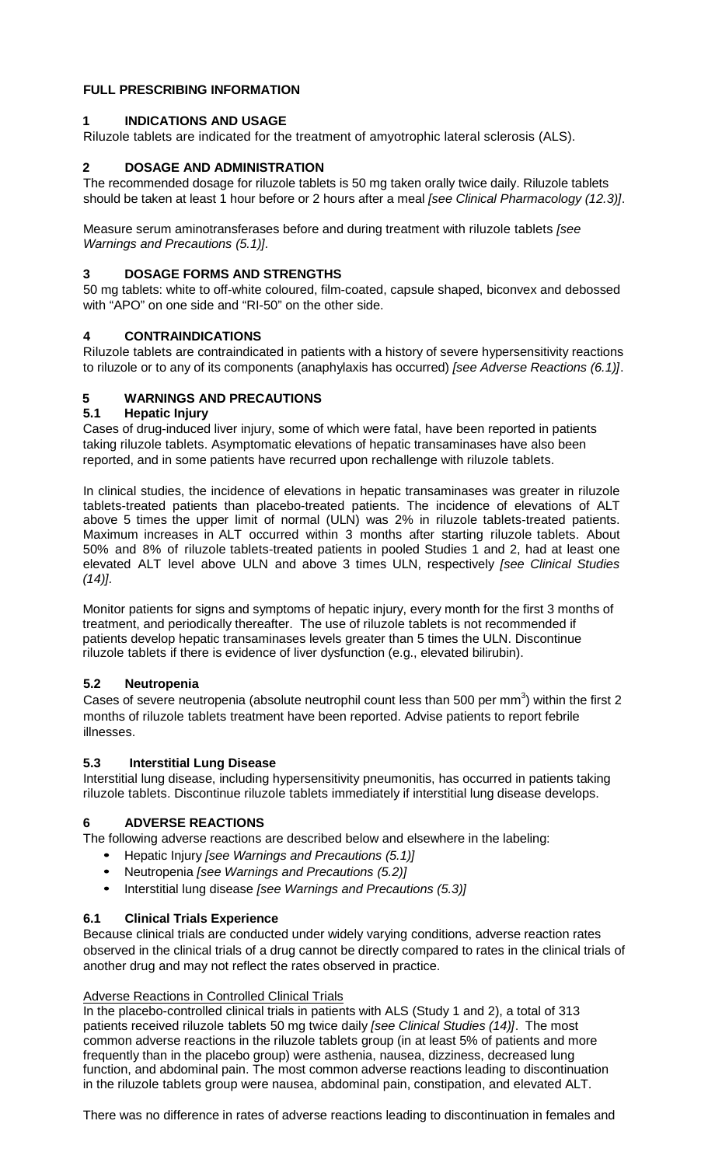#### <span id="page-1-0"></span>**FULL PRESCRIBING INFORMATION**

#### **1 INDICATIONS AND USAGE**

Riluzole tablets are indicated for the treatment of amyotrophic lateral sclerosis (ALS).

#### **2 DOSAGE AND ADMINISTRATION**

The recommended dosage for riluzole tablets is 50 mg taken orally twice daily. Riluzole tablets should be taken at least 1 hour before or 2 hours after a meal *[see Clinical Pharmacology (12.3)]*.

Measure serum aminotransferases before and during treatment with riluzole tablets *[see Warnings and Precautions (5.1)].*

#### **3 DOSAGE FORMS AND STRENGTHS**

50 mg tablets: white to off-white coloured, film-coated, capsule shaped, biconvex and debossed with "APO" on one side and "RI-50" on the other side.

#### **4 CONTRAINDICATIONS**

Riluzole tablets are contraindicated in patients with a history of severe hypersensitivity reactions to riluzole or to any of its components (anaphylaxis has occurred) *[see Adverse Reactions (6.1)]*.

## **5 WARNINGS AND PRECAUTIONS**

#### **5.1 Hepatic Injury**

Cases of drug-induced liver injury, some of which were fatal, have been reported in patients taking riluzole tablets. Asymptomatic elevations of hepatic transaminases have also been reported, and in some patients have recurred upon rechallenge with riluzole tablets.

In clinical studies, the incidence of elevations in hepatic transaminases was greater in riluzole tablets-treated patients than placebo-treated patients. The incidence of elevations of ALT above 5 times the upper limit of normal (ULN) was 2% in riluzole tablets-treated patients. Maximum increases in ALT occurred within 3 months after starting riluzole tablets. About 50% and 8% of riluzole tablets-treated patients in pooled Studies 1 and 2, had at least one elevated ALT level above ULN and above 3 times ULN, respectively *[see Clinical Studies (14)].*

Monitor patients for signs and symptoms of hepatic injury, every month for the first 3 months of treatment, and periodically thereafter. The use of riluzole tablets is not recommended if patients develop hepatic transaminases levels greater than 5 times the ULN. Discontinue riluzole tablets if there is evidence of liver dysfunction (e.g., elevated bilirubin).

#### **5.2 Neutropenia**

Cases of severe neutropenia (absolute neutrophil count less than 500 per mm<sup>3</sup>) within the first 2 months of riluzole tablets treatment have been reported. Advise patients to report febrile illnesses.

#### **5.3 Interstitial Lung Disease**

Interstitial lung disease, including hypersensitivity pneumonitis, has occurred in patients taking riluzole tablets. Discontinue riluzole tablets immediately if interstitial lung disease develops.

#### **6 ADVERSE REACTIONS**

The following adverse reactions are described below and elsewhere in the labeling:

- Hepatic Injury *[see Warnings and Precautions (5.1)]*
- Neutropenia *[see Warnings and Precautions (5.2)]*
- Interstitial lung disease *[see Warnings and Precautions (5.3)]*

#### **6.1 Clinical Trials Experience**

Because clinical trials are conducted under widely varying conditions, adverse reaction rates observed in the clinical trials of a drug cannot be directly compared to rates in the clinical trials of another drug and may not reflect the rates observed in practice.

#### Adverse Reactions in Controlled Clinical Trials

In the placebo-controlled clinical trials in patients with ALS (Study 1 and 2), a total of 313 patients received riluzole tablets 50 mg twice daily *[see Clinical Studies (14)]*. The most common adverse reactions in the riluzole tablets group (in at least 5% of patients and more frequently than in the placebo group) were asthenia, nausea, dizziness, decreased lung function, and abdominal pain. The most common adverse reactions leading to discontinuation in the riluzole tablets group were nausea, abdominal pain, constipation, and elevated ALT.

There was no difference in rates of adverse reactions leading to discontinuation in females and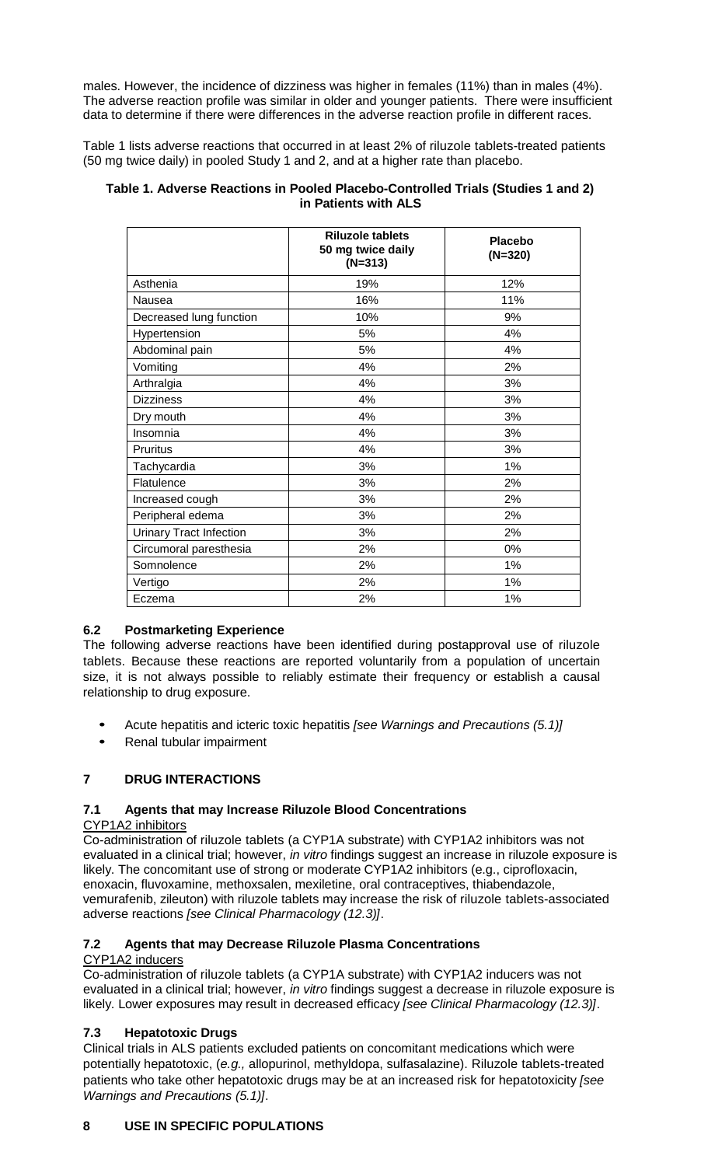<span id="page-2-0"></span>males. However, the incidence of dizziness was higher in females (11%) than in males (4%). The adverse reaction profile was similar in older and younger patients. There were insufficient data to determine if there were differences in the adverse reaction profile in different races.

Table 1 lists adverse reactions that occurred in at least 2% of riluzole tablets-treated patients (50 mg twice daily) in pooled Study 1 and 2, and at a higher rate than placebo.

#### **Table 1. Adverse Reactions in Pooled Placebo-Controlled Trials (Studies 1 and 2) in Patients with ALS**

|                                | <b>Riluzole tablets</b><br>50 mg twice daily<br>$(N=313)$ | <b>Placebo</b><br>$(N=320)$ |
|--------------------------------|-----------------------------------------------------------|-----------------------------|
| Asthenia                       | 19%                                                       | 12%                         |
| Nausea                         | 16%                                                       | 11%                         |
| Decreased lung function        | 10%                                                       | 9%                          |
| Hypertension                   | 5%                                                        | 4%                          |
| Abdominal pain                 | 5%                                                        | 4%                          |
| Vomiting                       | 4%                                                        | 2%                          |
| Arthralgia                     | 4%                                                        | 3%                          |
| <b>Dizziness</b>               | 4%                                                        | 3%                          |
| Dry mouth                      | 4%                                                        | 3%                          |
| Insomnia                       | 4%                                                        | 3%                          |
| Pruritus                       | 4%                                                        | 3%                          |
| Tachycardia                    | 3%                                                        | 1%                          |
| Flatulence                     | 3%                                                        | 2%                          |
| Increased cough                | 3%                                                        | 2%                          |
| Peripheral edema               | 3%                                                        | 2%                          |
| <b>Urinary Tract Infection</b> | 3%                                                        | 2%                          |
| Circumoral paresthesia         | 2%                                                        | 0%                          |
| Somnolence                     | 2%                                                        | 1%                          |
| Vertigo                        | 2%                                                        | 1%                          |
| Eczema                         | 2%                                                        | 1%                          |

## **6.2 Postmarketing Experience**

The following adverse reactions have been identified during postapproval use of riluzole tablets. Because these reactions are reported voluntarily from a population of uncertain size, it is not always possible to reliably estimate their frequency or establish a causal relationship to drug exposure.

- Acute hepatitis and icteric toxic hepatitis *[see Warnings and Precautions (5.1)]*
- Renal tubular impairment

## **7 DRUG INTERACTIONS**

## **7.1 Agents that may Increase Riluzole Blood Concentrations**

#### CYP1A2 inhibitors

Co-administration of riluzole tablets (a CYP1A substrate) with CYP1A2 inhibitors was not evaluated in a clinical trial; however, *in vitro* findings suggest an increase in riluzole exposure is likely. The concomitant use of strong or moderate CYP1A2 inhibitors (e.g., ciprofloxacin, enoxacin, fluvoxamine, methoxsalen, mexiletine, oral contraceptives, thiabendazole, vemurafenib, zileuton) with riluzole tablets may increase the risk of riluzole tablets-associated adverse reactions *[see Clinical Pharmacology (12.3)]*.

## **7.2 Agents that may Decrease Riluzole Plasma Concentrations**

#### CYP1A2 inducers

Co-administration of riluzole tablets (a CYP1A substrate) with CYP1A2 inducers was not evaluated in a clinical trial; however, *in vitro* findings suggest a decrease in riluzole exposure is likely. Lower exposures may result in decreased efficacy *[see Clinical Pharmacology (12.3)]*.

#### **7.3 Hepatotoxic Drugs**

Clinical trials in ALS patients excluded patients on concomitant medications which were potentially hepatotoxic, (*e.g.,* allopurinol, methyldopa, sulfasalazine). Riluzole tablets-treated patients who take other hepatotoxic drugs may be at an increased risk for hepatotoxicity *[see Warnings and Precautions (5.1)]*.

## **8 USE IN SPECIFIC POPULATIONS**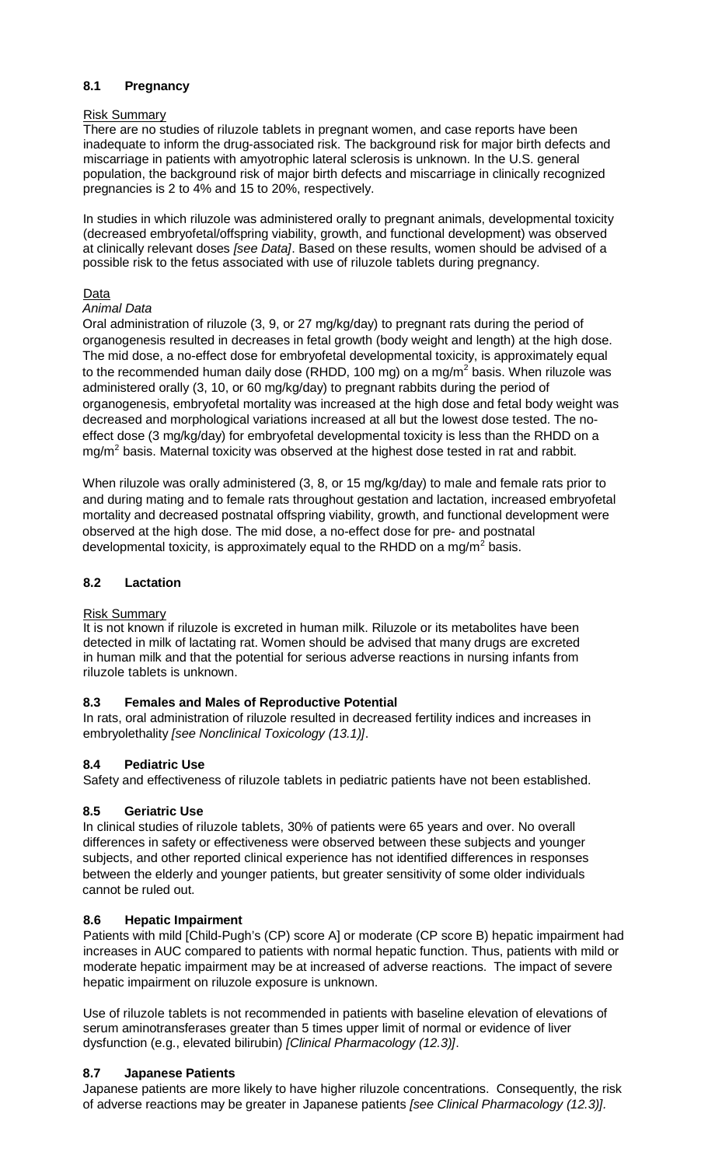#### <span id="page-3-0"></span>**8.1 Pregnancy**

#### Risk Summary

There are no studies of riluzole tablets in pregnant women, and case reports have been inadequate to inform the drug-associated risk. The background risk for major birth defects and miscarriage in patients with amyotrophic lateral sclerosis is unknown. In the U.S. general population, the background risk of major birth defects and miscarriage in clinically recognized pregnancies is 2 to 4% and 15 to 20%, respectively.

In studies in which riluzole was administered orally to pregnant animals, developmental toxicity (decreased embryofetal/offspring viability, growth, and functional development) was observed at clinically relevant doses *[see Data]*. Based on these results, women should be advised of a possible risk to the fetus associated with use of riluzole tablets during pregnancy.

## **Data**

## *Animal Data*

Oral administration of riluzole (3, 9, or 27 mg/kg/day) to pregnant rats during the period of organogenesis resulted in decreases in fetal growth (body weight and length) at the high dose. The mid dose, a no-effect dose for embryofetal developmental toxicity, is approximately equal to the recommended human daily dose (RHDD, 100 mg) on a mg/m<sup>2</sup> basis. When riluzole was administered orally (3, 10, or 60 mg/kg/day) to pregnant rabbits during the period of organogenesis, embryofetal mortality was increased at the high dose and fetal body weight was decreased and morphological variations increased at all but the lowest dose tested. The noeffect dose (3 mg/kg/day) for embryofetal developmental toxicity is less than the RHDD on a  $mg/m<sup>2</sup>$  basis. Maternal toxicity was observed at the highest dose tested in rat and rabbit.

When riluzole was orally administered (3, 8, or 15 mg/kg/day) to male and female rats prior to and during mating and to female rats throughout gestation and lactation, increased embryofetal mortality and decreased postnatal offspring viability, growth, and functional development were observed at the high dose. The mid dose, a no-effect dose for pre- and postnatal developmental toxicity, is approximately equal to the RHDD on a mg/m<sup>2</sup> basis.

## **8.2 Lactation**

#### Risk Summary

It is not known if riluzole is excreted in human milk. Riluzole or its metabolites have been detected in milk of lactating rat. Women should be advised that many drugs are excreted in human milk and that the potential for serious adverse reactions in nursing infants from riluzole tablets is unknown.

#### **8.3 Females and Males of Reproductive Potential**

In rats, oral administration of riluzole resulted in decreased fertility indices and increases in embryolethality *[see Nonclinical Toxicology (13.1)]*.

## **8.4 Pediatric Use**

Safety and effectiveness of riluzole tablets in pediatric patients have not been established.

## **8.5 Geriatric Use**

In clinical studies of riluzole tablets, 30% of patients were 65 years and over. No overall differences in safety or effectiveness were observed between these subjects and younger subjects, and other reported clinical experience has not identified differences in responses between the elderly and younger patients, but greater sensitivity of some older individuals cannot be ruled out.

#### **8.6 Hepatic Impairment**

Patients with mild [Child-Pugh's (CP) score A] or moderate (CP score B) hepatic impairment had increases in AUC compared to patients with normal hepatic function. Thus, patients with mild or moderate hepatic impairment may be at increased of adverse reactions. The impact of severe hepatic impairment on riluzole exposure is unknown.

Use of riluzole tablets is not recommended in patients with baseline elevation of elevations of serum aminotransferases greater than 5 times upper limit of normal or evidence of liver dysfunction (e.g., elevated bilirubin) *[Clinical Pharmacology (12.3)]*.

#### **8.7 Japanese Patients**

Japanese patients are more likely to have higher riluzole concentrations. Consequently, the risk of adverse reactions may be greater in Japanese patients *[see Clinical Pharmacology (12.3)].*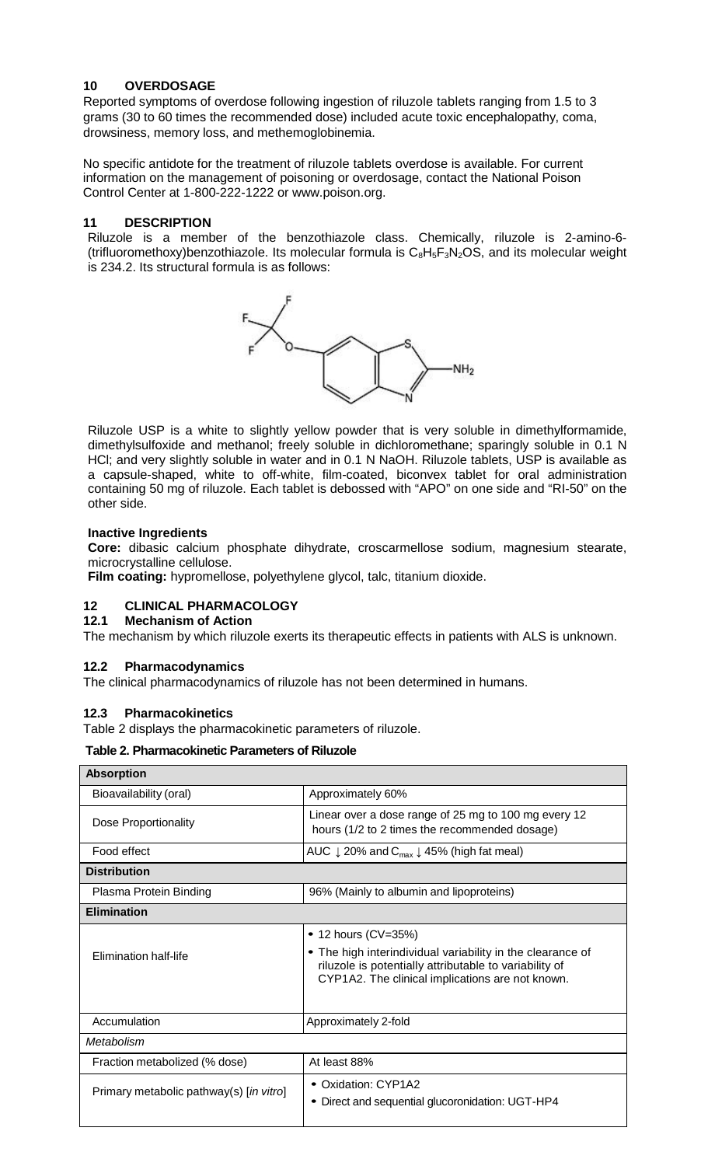#### <span id="page-4-0"></span>**10 OVERDOSAGE**

Reported symptoms of overdose following ingestion of riluzole tablets ranging from 1.5 to 3 grams (30 to 60 times the recommended dose) included acute toxic encephalopathy, coma, drowsiness, memory loss, and methemoglobinemia.

No specific antidote for the treatment of riluzole tablets overdose is available. For current information on the management of poisoning or overdosage, contact the National Poison Control Center at 1-800-222-1222 or [www.poison.org.](http://www.poison.org/)

#### **11 DESCRIPTION**

Riluzole is a member of the benzothiazole class. Chemically, riluzole is 2-amino-6- (trifluoromethoxy)benzothiazole. Its molecular formula is  $C_8H_5F_3N_2OS$ , and its molecular weight is 234.2. Its structural formula is as follows:



Riluzole USP is a white to slightly yellow powder that is very soluble in dimethylformamide, dimethylsulfoxide and methanol; freely soluble in dichloromethane; sparingly soluble in 0.1 N HCl; and very slightly soluble in water and in 0.1 N NaOH. Riluzole tablets, USP is available as a capsule-shaped, white to off-white, film-coated, biconvex tablet for oral administration containing 50 mg of riluzole. Each tablet is debossed with "APO" on one side and "RI-50" on the other side.

#### **Inactive Ingredients**

**Core:** dibasic calcium phosphate dihydrate, croscarmellose sodium, magnesium stearate, microcrystalline cellulose.

**Film coating:** hypromellose, polyethylene glycol, talc, titanium dioxide.

# **12 CLINICAL PHARMACOLOGY**

#### **12.1 Mechanism of Action**

The mechanism by which riluzole exerts its therapeutic effects in patients with ALS is unknown.

#### **12.2 Pharmacodynamics**

The clinical pharmacodynamics of riluzole has not been determined in humans.

#### **12.3 Pharmacokinetics**

Table 2 displays the pharmacokinetic parameters of riluzole.

#### **Table 2. Pharmacokinetic Parameters of Riluzole**

| <b>Absorption</b>                       |                                                                                                                                                                                               |  |
|-----------------------------------------|-----------------------------------------------------------------------------------------------------------------------------------------------------------------------------------------------|--|
| Bioavailability (oral)                  | Approximately 60%                                                                                                                                                                             |  |
| Dose Proportionality                    | Linear over a dose range of 25 mg to 100 mg every 12<br>hours (1/2 to 2 times the recommended dosage)                                                                                         |  |
| Food effect                             | AUC $\downarrow$ 20% and C <sub>max</sub> $\downarrow$ 45% (high fat meal)                                                                                                                    |  |
| <b>Distribution</b>                     |                                                                                                                                                                                               |  |
| Plasma Protein Binding                  | 96% (Mainly to albumin and lipoproteins)                                                                                                                                                      |  |
| <b>Elimination</b>                      |                                                                                                                                                                                               |  |
| Elimination half-life                   | 12 hours (CV=35%)<br>• The high interindividual variability in the clearance of<br>riluzole is potentially attributable to variability of<br>CYP1A2. The clinical implications are not known. |  |
| Accumulation                            | Approximately 2-fold                                                                                                                                                                          |  |
| Metabolism                              |                                                                                                                                                                                               |  |
| Fraction metabolized (% dose)           | At least 88%                                                                                                                                                                                  |  |
| Primary metabolic pathway(s) [in vitro] | • Oxidation: CYP1A2<br>• Direct and sequential glucoronidation: UGT-HP4                                                                                                                       |  |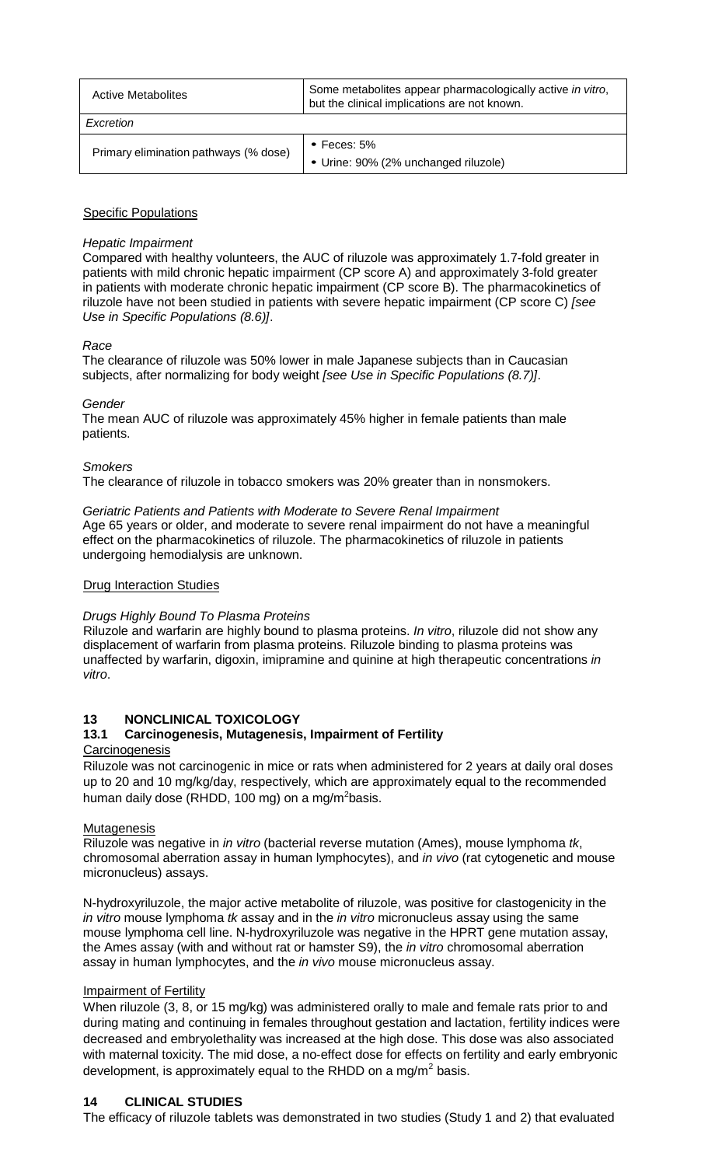<span id="page-5-0"></span>

| <b>Active Metabolites</b>             | Some metabolites appear pharmacologically active in vitro,<br>but the clinical implications are not known. |
|---------------------------------------|------------------------------------------------------------------------------------------------------------|
| Excretion                             |                                                                                                            |
| Primary elimination pathways (% dose) | $\bullet$ Feces: 5%<br>• Urine: 90% (2% unchanged riluzole)                                                |

#### **Specific Populations**

#### *Hepatic Impairment*

Compared with healthy volunteers, the AUC of riluzole was approximately 1.7-fold greater in patients with mild chronic hepatic impairment (CP score A) and approximately 3-fold greater in patients with moderate chronic hepatic impairment (CP score B). The pharmacokinetics of riluzole have not been studied in patients with severe hepatic impairment (CP score C) *[see Use in Specific Populations (8.6)]*.

#### *Race*

The clearance of riluzole was 50% lower in male Japanese subjects than in Caucasian subjects, after normalizing for body weight *[see Use in Specific Populations (8.7)]*.

#### *Gender*

The mean AUC of riluzole was approximately 45% higher in female patients than male patients.

#### *Smokers*

The clearance of riluzole in tobacco smokers was 20% greater than in nonsmokers.

#### *Geriatric Patients and Patients with Moderate to Severe Renal Impairment*

Age 65 years or older, and moderate to severe renal impairment do not have a meaningful effect on the pharmacokinetics of riluzole. The pharmacokinetics of riluzole in patients undergoing hemodialysis are unknown.

#### **Drug Interaction Studies**

#### *Drugs Highly Bound To Plasma Proteins*

Riluzole and warfarin are highly bound to plasma proteins. *In vitro*, riluzole did not show any displacement of warfarin from plasma proteins. Riluzole binding to plasma proteins was unaffected by warfarin, digoxin, imipramine and quinine at high therapeutic concentrations *in vitro*.

#### **13 NONCLINICAL TOXICOLOGY**

## **13.1 Carcinogenesis, Mutagenesis, Impairment of Fertility**

#### **Carcinogenesis**

Riluzole was not carcinogenic in mice or rats when administered for 2 years at daily oral doses up to 20 and 10 mg/kg/day, respectively, which are approximately equal to the recommended human daily dose (RHDD, 100 mg) on a mg/m<sup>2</sup>basis.

#### **Mutagenesis**

Riluzole was negative in *in vitro* (bacterial reverse mutation (Ames), mouse lymphoma *tk*, chromosomal aberration assay in human lymphocytes), and *in vivo* (rat cytogenetic and mouse micronucleus) assays.

N-hydroxyriluzole, the major active metabolite of riluzole, was positive for clastogenicity in the *in vitro* mouse lymphoma *tk* assay and in the *in vitro* micronucleus assay using the same mouse lymphoma cell line. N-hydroxyriluzole was negative in the HPRT gene mutation assay, the Ames assay (with and without rat or hamster S9), the *in vitro* chromosomal aberration assay in human lymphocytes, and the *in vivo* mouse micronucleus assay.

#### Impairment of Fertility

When riluzole (3, 8, or 15 mg/kg) was administered orally to male and female rats prior to and during mating and continuing in females throughout gestation and lactation, fertility indices were decreased and embryolethality was increased at the high dose. This dose was also associated with maternal toxicity. The mid dose, a no-effect dose for effects on fertility and early embryonic development, is approximately equal to the RHDD on a mg/m<sup>2</sup> basis.

#### **14 CLINICAL STUDIES**

The efficacy of riluzole tablets was demonstrated in two studies (Study 1 and 2) that evaluated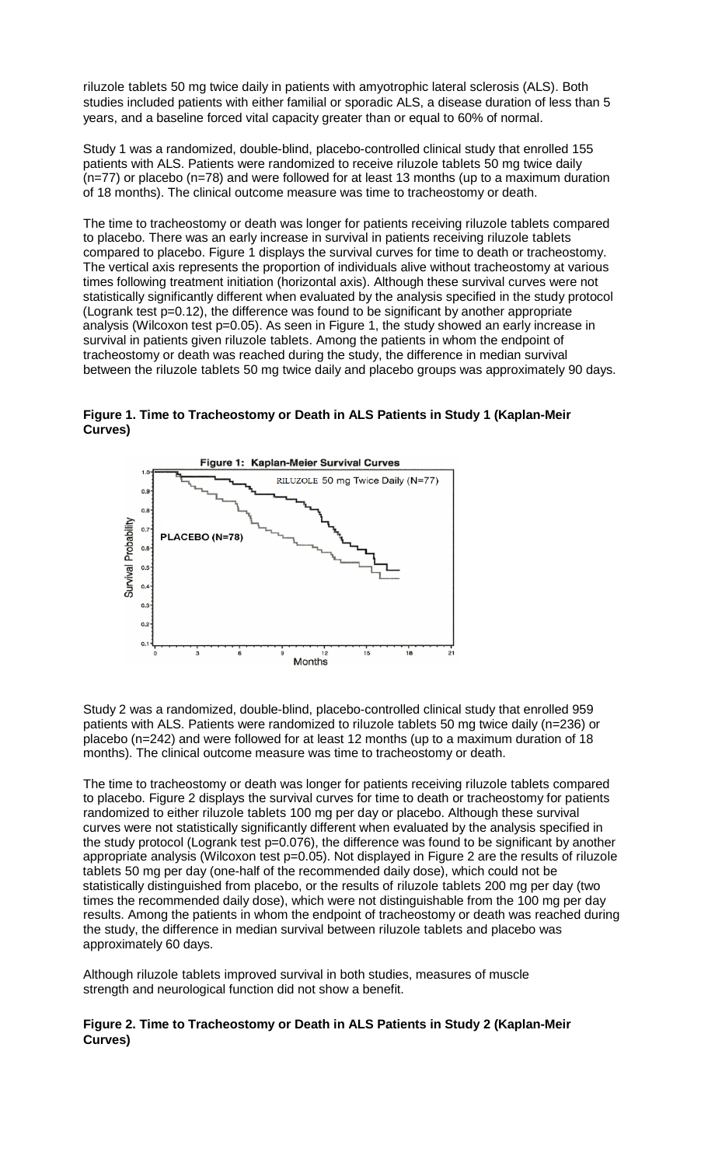riluzole tablets 50 mg twice daily in patients with amyotrophic lateral sclerosis (ALS). Both studies included patients with either familial or sporadic ALS, a disease duration of less than 5 years, and a baseline forced vital capacity greater than or equal to 60% of normal.

Study 1 was a randomized, double-blind, placebo-controlled clinical study that enrolled 155 patients with ALS. Patients were randomized to receive riluzole tablets 50 mg twice daily (n=77) or placebo (n=78) and were followed for at least 13 months (up to a maximum duration of 18 months). The clinical outcome measure was time to tracheostomy or death.

The time to tracheostomy or death was longer for patients receiving riluzole tablets compared to placebo. There was an early increase in survival in patients receiving riluzole tablets compared to placebo. Figure 1 displays the survival curves for time to death or tracheostomy. The vertical axis represents the proportion of individuals alive without tracheostomy at various times following treatment initiation (horizontal axis). Although these survival curves were not statistically significantly different when evaluated by the analysis specified in the study protocol (Logrank test p=0.12), the difference was found to be significant by another appropriate analysis (Wilcoxon test p=0.05). As seen in Figure 1, the study showed an early increase in survival in patients given riluzole tablets. Among the patients in whom the endpoint of tracheostomy or death was reached during the study, the difference in median survival between the riluzole tablets 50 mg twice daily and placebo groups was approximately 90 days.



**Figure 1. Time to Tracheostomy or Death in ALS Patients in Study 1 (Kaplan-Meir Curves)**

Study 2 was a randomized, double-blind, placebo-controlled clinical study that enrolled 959 patients with ALS. Patients were randomized to riluzole tablets 50 mg twice daily (n=236) or placebo (n=242) and were followed for at least 12 months (up to a maximum duration of 18 months). The clinical outcome measure was time to tracheostomy or death.

The time to tracheostomy or death was longer for patients receiving riluzole tablets compared to placebo. Figure 2 displays the survival curves for time to death or tracheostomy for patients randomized to either riluzole tablets 100 mg per day or placebo. Although these survival curves were not statistically significantly different when evaluated by the analysis specified in the study protocol (Logrank test p=0.076), the difference was found to be significant by another appropriate analysis (Wilcoxon test p=0.05). Not displayed in Figure 2 are the results of riluzole tablets 50 mg per day (one-half of the recommended daily dose), which could not be statistically distinguished from placebo, or the results of riluzole tablets 200 mg per day (two times the recommended daily dose), which were not distinguishable from the 100 mg per day results. Among the patients in whom the endpoint of tracheostomy or death was reached during the study, the difference in median survival between riluzole tablets and placebo was approximately 60 days.

Although riluzole tablets improved survival in both studies, measures of muscle strength and neurological function did not show a benefit.

#### **Figure 2. Time to Tracheostomy or Death in ALS Patients in Study 2 (Kaplan-Meir Curves)**